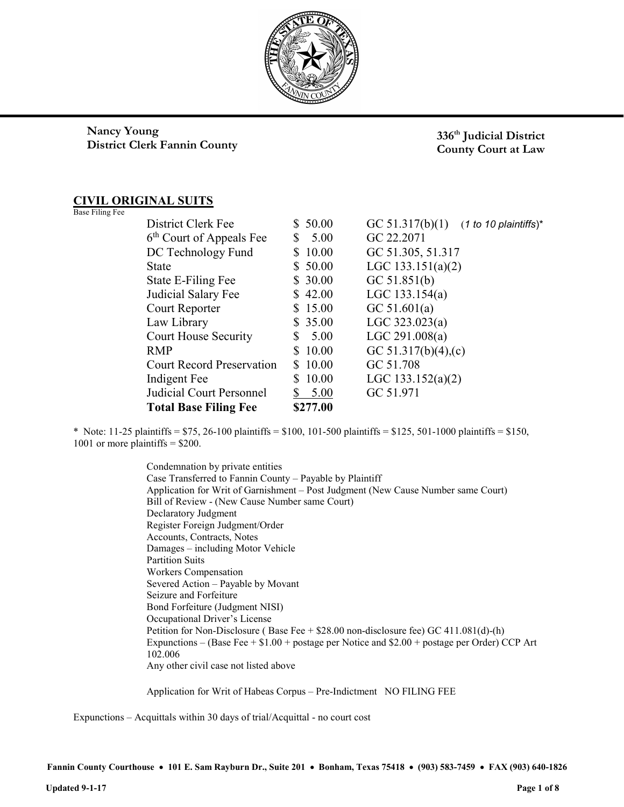

# Nancy Young District Clerk Fannin County

336<sup>th</sup> Judicial District County Court at Law

# CIVIL ORIGINAL SUITS

|  | Base Filing Fee |  |
|--|-----------------|--|
|--|-----------------|--|

| <b>Total Base Filing Fee</b>         |    | \$277.00 |                                            |
|--------------------------------------|----|----------|--------------------------------------------|
| Judicial Court Personnel             |    | 5.00     | GC 51.971                                  |
| Indigent Fee                         | S  | 10.00    | LGC 133.152(a)(2)                          |
| <b>Court Record Preservation</b>     | S. | 10.00    | GC 51.708                                  |
| <b>RMP</b>                           | \$ | 10.00    | GC 51.317(b)(4),(c)                        |
| <b>Court House Security</b>          | S  | 5.00     | LGC 291.008(a)                             |
| Law Library                          |    | \$35.00  | LGC $323.023(a)$                           |
| Court Reporter                       |    | \$15.00  | GC $51.601(a)$                             |
| Judicial Salary Fee                  |    | \$42.00  | LGC $133.154(a)$                           |
| State E-Filing Fee                   |    | \$30.00  | GC 51.851(b)                               |
| <b>State</b>                         |    | \$ 50.00 | LGC $133.151(a)(2)$                        |
| DC Technology Fund                   | S  | 10.00    | GC 51.305, 51.317                          |
| 6 <sup>th</sup> Court of Appeals Fee | S  | 5.00     | GC 22.2071                                 |
| District Clerk Fee                   |    | \$ 50.00 | GC 51.317(b)(1)<br>$(1 to 10$ plaintiffs)* |
|                                      |    |          |                                            |

\* Note: 11-25 plaintiffs =  $$75, 26-100$  plaintiffs =  $$100, 101-500$  plaintiffs =  $$125, 501-1000$  plaintiffs =  $$150,$ 1001 or more plaintiffs  $=$  \$200.

> Condemnation by private entities Case Transferred to Fannin County – Payable by Plaintiff Application for Writ of Garnishment – Post Judgment (New Cause Number same Court) Bill of Review - (New Cause Number same Court) Declaratory Judgment Register Foreign Judgment/Order Accounts, Contracts, Notes Damages – including Motor Vehicle Partition Suits Workers Compensation Severed Action – Payable by Movant Seizure and Forfeiture Bond Forfeiture (Judgment NISI) Occupational Driver's License Petition for Non-Disclosure ( Base Fee + \$28.00 non-disclosure fee) GC 411.081(d)-(h) Expunctions – (Base Fee + \$1.00 + postage per Notice and \$2.00 + postage per Order) CCP Art 102.006 Any other civil case not listed above

Application for Writ of Habeas Corpus – Pre-Indictment NO FILING FEE

Expunctions – Acquittals within 30 days of trial/Acquittal - no court cost

Fannin County Courthouse • 101 E. Sam Rayburn Dr., Suite 201 • Bonham, Texas 75418 • (903) 583-7459 • FAX (903) 640-1826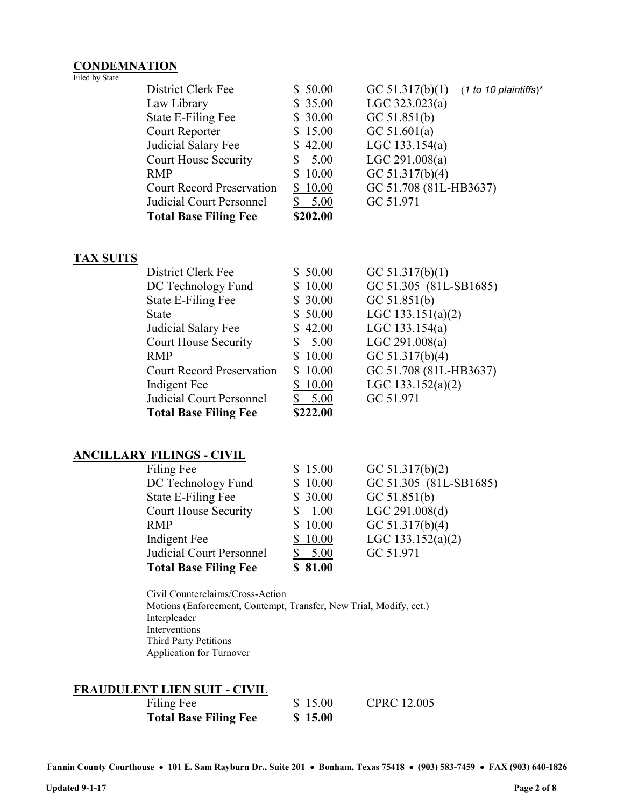#### **CONDEMNATION** Filed by State

| District Clerk Fee               | \$50.00     | GC $51.317(b)(1)$<br>$(1 to 10$ plaintiffs) <sup>*</sup> |
|----------------------------------|-------------|----------------------------------------------------------|
| Law Library                      | \$35.00     | LGC $323.023(a)$                                         |
| State E-Filing Fee               | \$30.00     | GC 51.851(b)                                             |
| Court Reporter                   | \$15.00     | GC 51.601(a)                                             |
| Judicial Salary Fee              | \$42.00     | LGC $133.154(a)$                                         |
| Court House Security             | 5.00<br>S   | LGC 291.008(a)                                           |
| <b>RMP</b>                       | 10.00<br>S. | GC $51.317(b)(4)$                                        |
| <b>Court Record Preservation</b> | \$10.00     | GC 51.708 (81L-HB3637)                                   |
| Judicial Court Personnel         | 5.00        | GC 51.971                                                |
| <b>Total Base Filing Fee</b>     | \$202.00    |                                                          |
|                                  |             |                                                          |

#### TAX SUITS

| District Clerk Fee               | \$50.00   | GC $51.317(b)(1)$      |
|----------------------------------|-----------|------------------------|
| DC Technology Fund               | \$10.00   | GC 51.305 (81L-SB1685) |
| State E-Filing Fee               | \$30.00   | GC 51.851(b)           |
| <b>State</b>                     | \$50.00   | LGC $133.151(a)(2)$    |
| Judicial Salary Fee              | \$42.00   | LGC $133.154(a)$       |
| <b>Court House Security</b>      | 5.00<br>S | LGC 291.008(a)         |
| <b>RMP</b>                       | \$10.00   | GC 51.317(b)(4)        |
| <b>Court Record Preservation</b> | \$10.00   | GC 51.708 (81L-HB3637) |
| Indigent Fee                     | 10.00     | LGC $133.152(a)(2)$    |
| Judicial Court Personnel         | 5.00      | GC 51.971              |
| <b>Total Base Filing Fee</b>     | \$222.00  |                        |

# ANCILLARY FILINGS - CIVIL

| Filing Fee                   | \$15.00 | GC $51.317(b)(2)$      |
|------------------------------|---------|------------------------|
| DC Technology Fund           | \$10.00 | GC 51.305 (81L-SB1685) |
| State E-Filing Fee           | \$30.00 | GC 51.851(b)           |
| <b>Court House Security</b>  | 1.00    | LGC 291.008(d)         |
| <b>RMP</b>                   | \$10.00 | GC $51.317(b)(4)$      |
| Indigent Fee                 | \$10.00 | LGC $133.152(a)(2)$    |
| Judicial Court Personnel     | 5.00    | GC 51.971              |
| <b>Total Base Filing Fee</b> | \$81.00 |                        |

Civil Counterclaims/Cross-Action Motions (Enforcement, Contempt, Transfer, New Trial, Modify, ect.) Interpleader Interventions Third Party Petitions Application for Turnover

#### FRAUDULENT LIEN SUIT - CIVIL

Filing Fee \$ 15.00 CPRC 12.005 Total Base Filing Fee \$ 15.00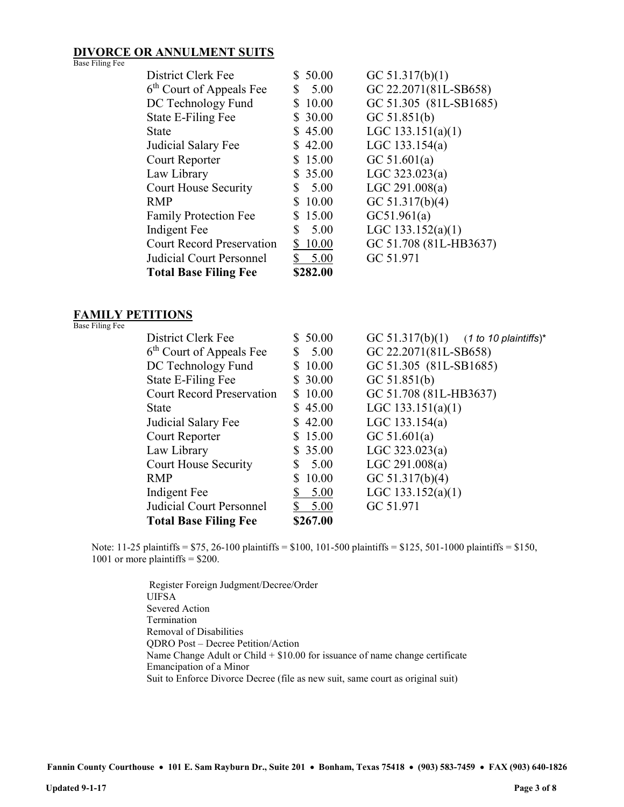#### DIVORCE OR ANNULMENT SUITS Base Filing Fee

| District Clerk Fee                   | 50.00<br>S. | GC $51.317(b)(1)$      |
|--------------------------------------|-------------|------------------------|
| 6 <sup>th</sup> Court of Appeals Fee | 5.00<br>S   | GC 22.2071(81L-SB658)  |
| DC Technology Fund                   | 10.00<br>\$ | GC 51.305 (81L-SB1685) |
| State E-Filing Fee                   | 30.00<br>S. | GC 51.851(b)           |
| <b>State</b>                         | 45.00       | LGC $133.151(a)(1)$    |
| Judicial Salary Fee                  | \$42.00     | LGC $133.154(a)$       |
| Court Reporter                       | 15.00       | GC $51.601(a)$         |
| Law Library                          | \$35.00     | LGC $323.023(a)$       |
| <b>Court House Security</b>          | 5.00<br>S   | LGC 291.008(a)         |
| <b>RMP</b>                           | 10.00       | GC $51.317(b)(4)$      |
| <b>Family Protection Fee</b>         | 15.00<br>S  | GC51.961(a)            |
| Indigent Fee                         | \$<br>5.00  | LGC $133.152(a)(1)$    |
| <b>Court Record Preservation</b>     | 10.00<br>S  | GC 51.708 (81L-HB3637) |
| Judicial Court Personnel             | \$<br>5.00  | GC 51.971              |
| <b>Total Base Filing Fee</b>         | \$282.00    |                        |

### FAMILY PETITIONS

Base Filing Fee

| District Clerk Fee                   | \$50.00  | GC 51.317(b)(1) $(1 + 10)$ to 10 plaintiffs)* |
|--------------------------------------|----------|-----------------------------------------------|
| 6 <sup>th</sup> Court of Appeals Fee | 5.00     | GC 22.2071(81L-SB658)                         |
|                                      |          |                                               |
| DC Technology Fund                   | \$10.00  | GC 51.305 (81L-SB1685)                        |
| State E-Filing Fee                   | \$30.00  | GC $51.851(b)$                                |
| <b>Court Record Preservation</b>     | \$10.00  | GC 51.708 (81L-HB3637)                        |
| <b>State</b>                         | \$45.00  | LGC $133.151(a)(1)$                           |
| Judicial Salary Fee                  | \$42.00  | LGC $133.154(a)$                              |
| Court Reporter                       | \$15.00  | GC $51.601(a)$                                |
| Law Library                          | \$35.00  | LGC $323.023(a)$                              |
| <b>Court House Security</b>          | 5.00     | LGC 291.008(a)                                |
| <b>RMP</b>                           | 10.00    | GC $51.317(b)(4)$                             |
| Indigent Fee                         | 5.00     | LGC $133.152(a)(1)$                           |
| Judicial Court Personnel             | 5.00     | GC 51.971                                     |
| <b>Total Base Filing Fee</b>         | \$267.00 |                                               |

Note: 11-25 plaintiffs = \$75, 26-100 plaintiffs = \$100, 101-500 plaintiffs = \$125, 501-1000 plaintiffs = \$150, 1001 or more plaintiffs  $=$  \$200.

> Register Foreign Judgment/Decree/Order UIFSA Severed Action Termination Removal of Disabilities QDRO Post – Decree Petition/Action Name Change Adult or Child + \$10.00 for issuance of name change certificate Emancipation of a Minor Suit to Enforce Divorce Decree (file as new suit, same court as original suit)

Fannin County Courthouse • 101 E. Sam Rayburn Dr., Suite 201 • Bonham, Texas 75418 • (903) 583-7459 • FAX (903) 640-1826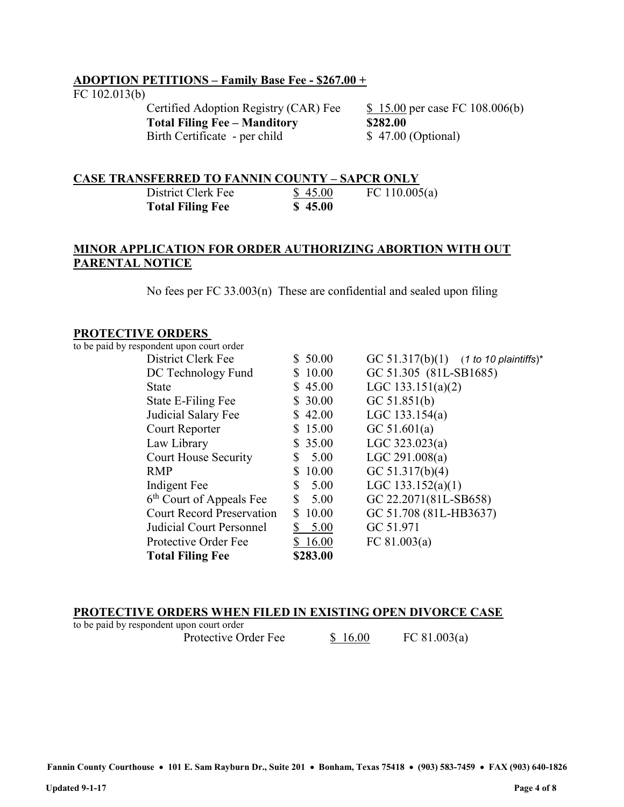### ADOPTION PETITIONS – Family Base Fee - \$267.00 +

#### FC 102.013(b)

Certified Adoption Registry (CAR) Fee  $$ 15.00$  per case FC 108.006(b) Total Filing Fee – Manditory \$282.00 Birth Certificate - per child \$ 47.00 (Optional)

### CASE TRANSFERRED TO FANNIN COUNTY – SAPCR ONLY

| District Clerk Fee      | \$45.00 | FC 110.005(a) |
|-------------------------|---------|---------------|
| <b>Total Filing Fee</b> | \$45.00 |               |

### MINOR APPLICATION FOR ORDER AUTHORIZING ABORTION WITH OUT PARENTAL NOTICE

No fees per FC 33.003(n) These are confidential and sealed upon filing

### PROTECTIVE ORDERS

to be paid by respondent upon court order

|             | GC 51.317(b)(1) $(1 \text{ to } 10 \text{ plaintexts})^*$                                                                                                                                    |
|-------------|----------------------------------------------------------------------------------------------------------------------------------------------------------------------------------------------|
| \$10.00     | GC 51.305 (81L-SB1685)                                                                                                                                                                       |
| \$45.00     | LGC $133.151(a)(2)$                                                                                                                                                                          |
| \$30.00     | GC 51.851(b)                                                                                                                                                                                 |
| \$42.00     | LGC $133.154(a)$                                                                                                                                                                             |
| \$15.00     | GC $51.601(a)$                                                                                                                                                                               |
| \$35.00     | LGC $323.023(a)$                                                                                                                                                                             |
| 5.00<br>S.  | LGC 291.008(a)                                                                                                                                                                               |
| 10.00       | GC $51.317(b)(4)$                                                                                                                                                                            |
| 5.00<br>S   | LGC $133.152(a)(1)$                                                                                                                                                                          |
| S.<br>5.00  | GC 22.2071(81L-SB658)                                                                                                                                                                        |
| 10.00<br>S. | GC 51.708 (81L-HB3637)                                                                                                                                                                       |
| 5.00        | GC 51.971                                                                                                                                                                                    |
| 16.00       | FC $81.003(a)$                                                                                                                                                                               |
| \$283.00    |                                                                                                                                                                                              |
|             | \$50.00<br>DC Technology Fund<br><b>Court House Security</b><br>6 <sup>th</sup> Court of Appeals Fee<br><b>Court Record Preservation</b><br>Judicial Court Personnel<br>Protective Order Fee |

### PROTECTIVE ORDERS WHEN FILED IN EXISTING OPEN DIVORCE CASE

| to be paid by respondent upon court order |                      |         |              |
|-------------------------------------------|----------------------|---------|--------------|
|                                           | Protective Order Fee | \$16.00 | FC 81.003(a) |

Fannin County Courthouse • 101 E. Sam Rayburn Dr., Suite 201 • Bonham, Texas 75418 • (903) 583-7459 • FAX (903) 640-1826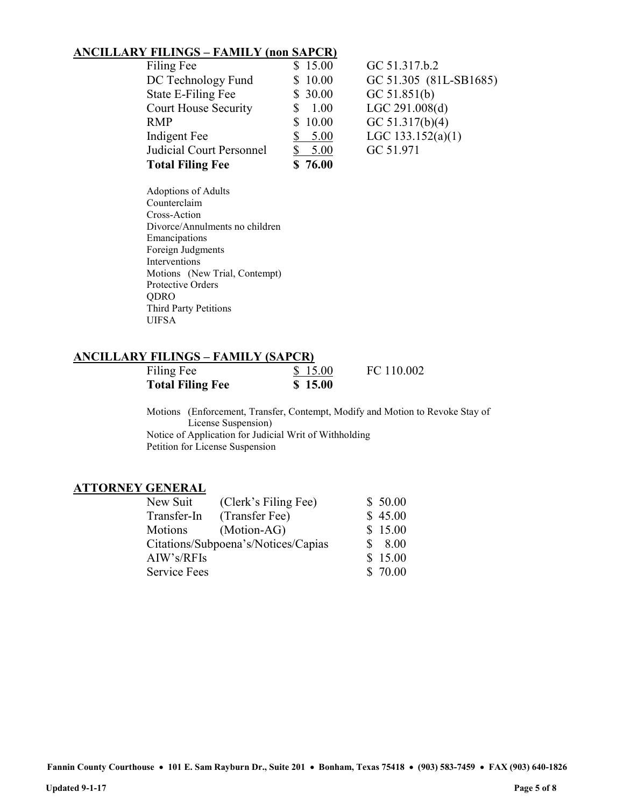### ANCILLARY FILINGS – FAMILY (non SAPCR)

| Filing Fee                      | \$15.00 | GC 51.317.b.2          |
|---------------------------------|---------|------------------------|
| DC Technology Fund              | \$10.00 | GC 51.305 (81L-SB1685) |
| State E-Filing Fee              | \$30.00 | GC 51.851(b)           |
| <b>Court House Security</b>     | 1.00    | LGC 291.008(d)         |
| <b>RMP</b>                      | \$10.00 | GC $51.317(b)(4)$      |
| Indigent Fee                    | 5.00    | LGC $133.152(a)(1)$    |
| <b>Judicial Court Personnel</b> | 5.00    | GC 51.971              |
| <b>Total Filing Fee</b>         | \$76.00 |                        |
|                                 |         |                        |

Adoptions of Adults Counterclaim Cross-Action Divorce/Annulments no children Emancipations Foreign Judgments Interventions Motions (New Trial, Contempt) Protective Orders QDRO Third Party Petitions UIFSA

### ANCILLARY FILINGS – FAMILY (SAPCR)

| Filing Fee              | \$15.00 | FC 110.002 |
|-------------------------|---------|------------|
| <b>Total Filing Fee</b> | \$15.00 |            |

Motions (Enforcement, Transfer, Contempt, Modify and Motion to Revoke Stay of License Suspension) Notice of Application for Judicial Writ of Withholding Petition for License Suspension

#### ATTORNEY GENERAL

| New Suit                            | (Clerk's Filing Fee) | \$50.00 |
|-------------------------------------|----------------------|---------|
| Transfer-In                         | (Transfer Fee)       | \$45.00 |
| Motions                             | (Motion-AG)          | \$15.00 |
| Citations/Subpoena's/Notices/Capias |                      | \$8.00  |
| AIW's/RFIs                          |                      | \$15.00 |
| <b>Service Fees</b>                 |                      | \$70.00 |
|                                     |                      |         |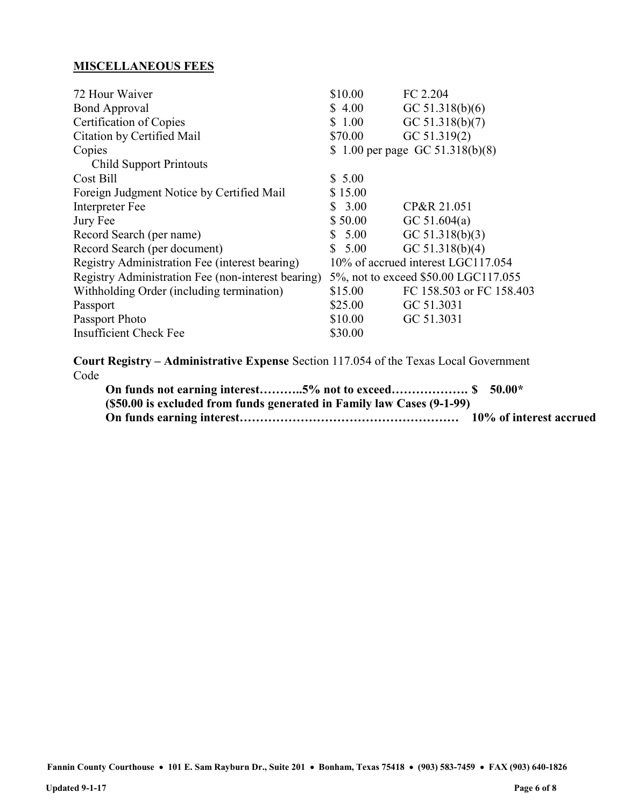# MISCELLANEOUS FEES

| 72 Hour Waiver                                     | \$10.00                            | FC 2.204                             |  |
|----------------------------------------------------|------------------------------------|--------------------------------------|--|
| <b>Bond Approval</b>                               | \$4.00                             | GC $51.318(b)(6)$                    |  |
| Certification of Copies                            | \$1.00                             | GC $51.318(b)(7)$                    |  |
| Citation by Certified Mail                         | \$70.00                            | GC 51.319(2)                         |  |
| Copies                                             | \$ 1.00 per page GC $51.318(b)(8)$ |                                      |  |
| <b>Child Support Printouts</b>                     |                                    |                                      |  |
| Cost Bill                                          | \$5.00                             |                                      |  |
| Foreign Judgment Notice by Certified Mail          | \$15.00                            |                                      |  |
| Interpreter Fee                                    | \$3.00                             | CP&R 21.051                          |  |
| Jury Fee                                           | \$50.00                            | GC $51.604(a)$                       |  |
| Record Search (per name)                           | 5.00                               | GC $51.318(b)(3)$                    |  |
| Record Search (per document)                       | 5.00<br>S.                         | GC $51.318(b)(4)$                    |  |
| Registry Administration Fee (interest bearing)     |                                    | 10% of accrued interest LGC117.054   |  |
| Registry Administration Fee (non-interest bearing) |                                    | 5%, not to exceed \$50.00 LGC117.055 |  |
| Withholding Order (including termination)          | \$15.00                            | FC 158.503 or FC 158.403             |  |
| Passport                                           | \$25.00                            | GC 51.3031                           |  |
| Passport Photo                                     | \$10.00                            | GC 51.3031                           |  |
| <b>Insufficient Check Fee</b>                      | \$30.00                            |                                      |  |
|                                                    |                                    |                                      |  |

Court Registry – Administrative Expense Section 117.054 of the Texas Local Government Code

| (\$50.00 is excluded from funds generated in Family law Cases (9-1-99) |  |
|------------------------------------------------------------------------|--|
|                                                                        |  |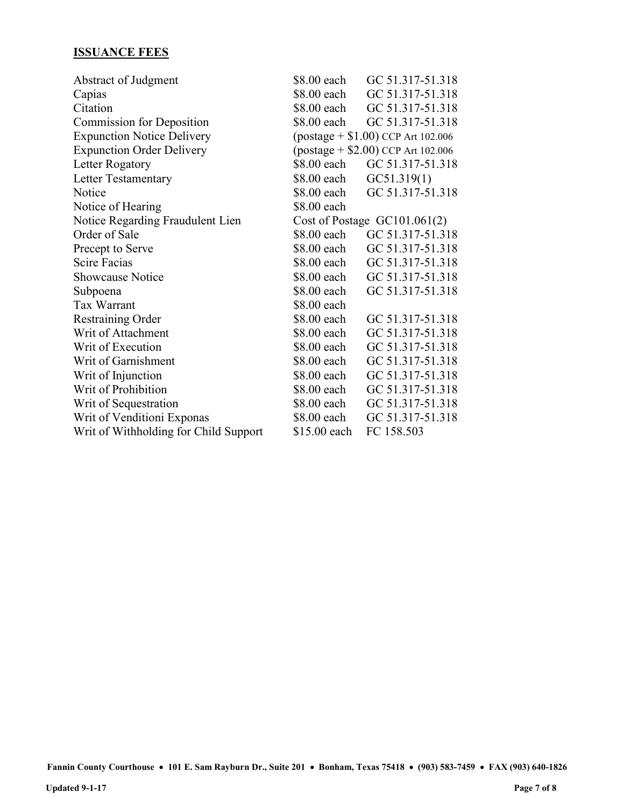# ISSUANCE FEES

| \$8.00 each                                      | GC 51.317-51.318 |  |
|--------------------------------------------------|------------------|--|
| \$8.00 each                                      | GC 51.317-51.318 |  |
| \$8.00 each                                      | GC 51.317-51.318 |  |
| \$8.00 each                                      | GC 51.317-51.318 |  |
| $\frac{1}{2}$ (postage + \$1.00) CCP Art 102.006 |                  |  |
| $\frac{1}{2}$ (postage + \$2.00) CCP Art 102.006 |                  |  |
| \$8.00 each                                      | GC 51.317-51.318 |  |
| \$8.00 each                                      | GC51.319(1)      |  |
| \$8.00 each                                      | GC 51.317-51.318 |  |
| \$8.00 each                                      |                  |  |
| Cost of Postage $GC101.061(2)$                   |                  |  |
| \$8.00 each                                      | GC 51.317-51.318 |  |
| \$8.00 each                                      | GC 51.317-51.318 |  |
| \$8.00 each                                      | GC 51.317-51.318 |  |
| \$8.00 each                                      | GC 51.317-51.318 |  |
| \$8.00 each                                      | GC 51.317-51.318 |  |
| \$8.00 each                                      |                  |  |
| \$8.00 each                                      | GC 51.317-51.318 |  |
| \$8.00 each                                      | GC 51.317-51.318 |  |
| \$8.00 each                                      | GC 51.317-51.318 |  |
| \$8.00 each                                      | GC 51.317-51.318 |  |
| \$8.00 each                                      | GC 51.317-51.318 |  |
| \$8.00 each                                      | GC 51.317-51.318 |  |
| \$8.00 each                                      | GC 51.317-51.318 |  |
| \$8.00 each                                      | GC 51.317-51.318 |  |
| \$15.00 each                                     | FC 158.503       |  |
|                                                  |                  |  |